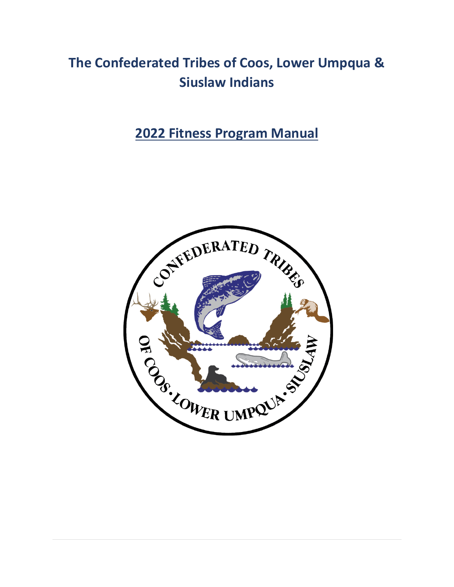# **The Confederated Tribes of Coos, Lower Umpqua & Siuslaw Indians**

**2022 Fitness Program Manual**

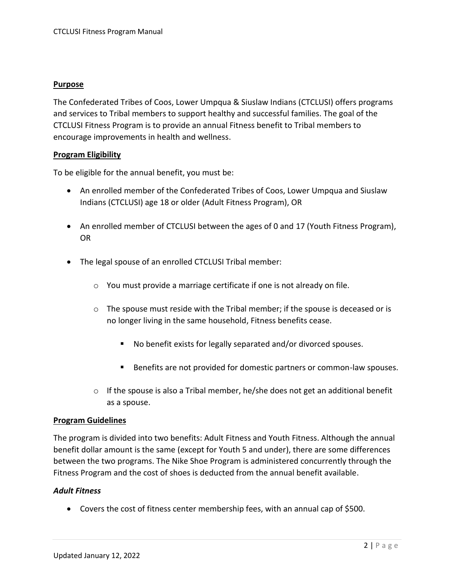#### **Purpose**

The Confederated Tribes of Coos, Lower Umpqua & Siuslaw Indians (CTCLUSI) offers programs and services to Tribal members to support healthy and successful families. The goal of the CTCLUSI Fitness Program is to provide an annual Fitness benefit to Tribal members to encourage improvements in health and wellness.

#### **Program Eligibility**

To be eligible for the annual benefit, you must be:

- An enrolled member of the Confederated Tribes of Coos, Lower Umpqua and Siuslaw Indians (CTCLUSI) age 18 or older (Adult Fitness Program), OR
- An enrolled member of CTCLUSI between the ages of 0 and 17 (Youth Fitness Program), OR
- The legal spouse of an enrolled CTCLUSI Tribal member:
	- o You must provide a marriage certificate if one is not already on file.
	- $\circ$  The spouse must reside with the Tribal member; if the spouse is deceased or is no longer living in the same household, Fitness benefits cease.
		- No benefit exists for legally separated and/or divorced spouses.
		- Benefits are not provided for domestic partners or common-law spouses.
	- $\circ$  If the spouse is also a Tribal member, he/she does not get an additional benefit as a spouse.

#### **Program Guidelines**

The program is divided into two benefits: Adult Fitness and Youth Fitness. Although the annual benefit dollar amount is the same (except for Youth 5 and under), there are some differences between the two programs. The Nike Shoe Program is administered concurrently through the Fitness Program and the cost of shoes is deducted from the annual benefit available.

# *Adult Fitness*

• Covers the cost of fitness center membership fees, with an annual cap of \$500.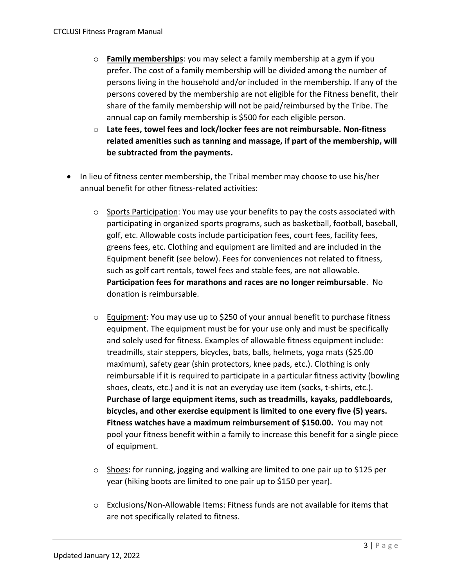- o **Family memberships**: you may select a family membership at a gym if you prefer. The cost of a family membership will be divided among the number of persons living in the household and/or included in the membership. If any of the persons covered by the membership are not eligible for the Fitness benefit, their share of the family membership will not be paid/reimbursed by the Tribe. The annual cap on family membership is \$500 for each eligible person.
- o **Late fees, towel fees and lock/locker fees are not reimbursable. Non-fitness related amenities such as tanning and massage, if part of the membership, will be subtracted from the payments.**
- In lieu of fitness center membership, the Tribal member may choose to use his/her annual benefit for other fitness-related activities:
	- o Sports Participation: You may use your benefits to pay the costs associated with participating in organized sports programs, such as basketball, football, baseball, golf, etc. Allowable costs include participation fees, court fees, facility fees, greens fees, etc. Clothing and equipment are limited and are included in the Equipment benefit (see below). Fees for conveniences not related to fitness, such as golf cart rentals, towel fees and stable fees, are not allowable. **Participation fees for marathons and races are no longer reimbursable**. No donation is reimbursable.
	- o Equipment: You may use up to \$250 of your annual benefit to purchase fitness equipment. The equipment must be for your use only and must be specifically and solely used for fitness. Examples of allowable fitness equipment include: treadmills, stair steppers, bicycles, bats, balls, helmets, yoga mats (\$25.00 maximum), safety gear (shin protectors, knee pads, etc.). Clothing is only reimbursable if it is required to participate in a particular fitness activity (bowling shoes, cleats, etc.) and it is not an everyday use item (socks, t-shirts, etc.). **Purchase of large equipment items, such as treadmills, kayaks, paddleboards, bicycles, and other exercise equipment is limited to one every five (5) years. Fitness watches have a maximum reimbursement of \$150.00.** You may not pool your fitness benefit within a family to increase this benefit for a single piece of equipment.
	- o Shoes**:** for running, jogging and walking are limited to one pair up to \$125 per year (hiking boots are limited to one pair up to \$150 per year).
	- o Exclusions/Non-Allowable Items: Fitness funds are not available for items that are not specifically related to fitness.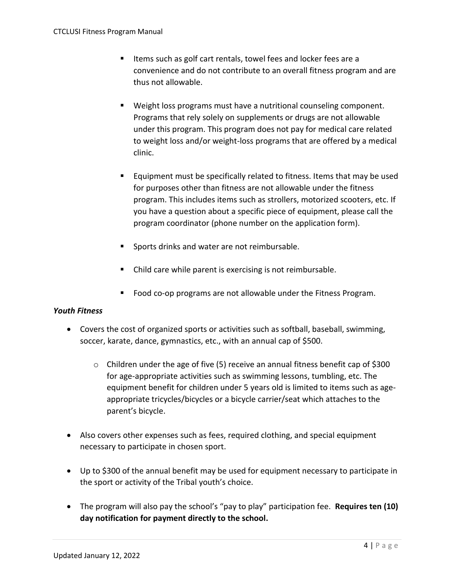- Items such as golf cart rentals, towel fees and locker fees are a convenience and do not contribute to an overall fitness program and are thus not allowable.
- Weight loss programs must have a nutritional counseling component. Programs that rely solely on supplements or drugs are not allowable under this program. This program does not pay for medical care related to weight loss and/or weight-loss programs that are offered by a medical clinic.
- Equipment must be specifically related to fitness. Items that may be used for purposes other than fitness are not allowable under the fitness program. This includes items such as strollers, motorized scooters, etc. If you have a question about a specific piece of equipment, please call the program coordinator (phone number on the application form).
- Sports drinks and water are not reimbursable.
- Child care while parent is exercising is not reimbursable.
- Food co-op programs are not allowable under the Fitness Program.

# *Youth Fitness*

- Covers the cost of organized sports or activities such as softball, baseball, swimming, soccer, karate, dance, gymnastics, etc., with an annual cap of \$500.
	- $\circ$  Children under the age of five (5) receive an annual fitness benefit cap of \$300 for age-appropriate activities such as swimming lessons, tumbling, etc. The equipment benefit for children under 5 years old is limited to items such as ageappropriate tricycles/bicycles or a bicycle carrier/seat which attaches to the parent's bicycle.
- Also covers other expenses such as fees, required clothing, and special equipment necessary to participate in chosen sport.
- Up to \$300 of the annual benefit may be used for equipment necessary to participate in the sport or activity of the Tribal youth's choice.
- The program will also pay the school's "pay to play" participation fee. **Requires ten (10) day notification for payment directly to the school.**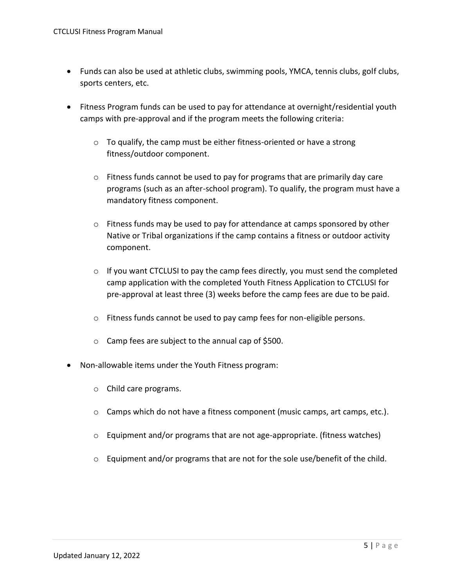- Funds can also be used at athletic clubs, swimming pools, YMCA, tennis clubs, golf clubs, sports centers, etc.
- Fitness Program funds can be used to pay for attendance at overnight/residential youth camps with pre-approval and if the program meets the following criteria:
	- o To qualify, the camp must be either fitness-oriented or have a strong fitness/outdoor component.
	- $\circ$  Fitness funds cannot be used to pay for programs that are primarily day care programs (such as an after-school program). To qualify, the program must have a mandatory fitness component.
	- o Fitness funds may be used to pay for attendance at camps sponsored by other Native or Tribal organizations if the camp contains a fitness or outdoor activity component.
	- o If you want CTCLUSI to pay the camp fees directly, you must send the completed camp application with the completed Youth Fitness Application to CTCLUSI for pre-approval at least three (3) weeks before the camp fees are due to be paid.
	- o Fitness funds cannot be used to pay camp fees for non-eligible persons.
	- o Camp fees are subject to the annual cap of \$500.
- Non-allowable items under the Youth Fitness program:
	- o Child care programs.
	- o Camps which do not have a fitness component (music camps, art camps, etc.).
	- $\circ$  Equipment and/or programs that are not age-appropriate. (fitness watches)
	- o Equipment and/or programs that are not for the sole use/benefit of the child.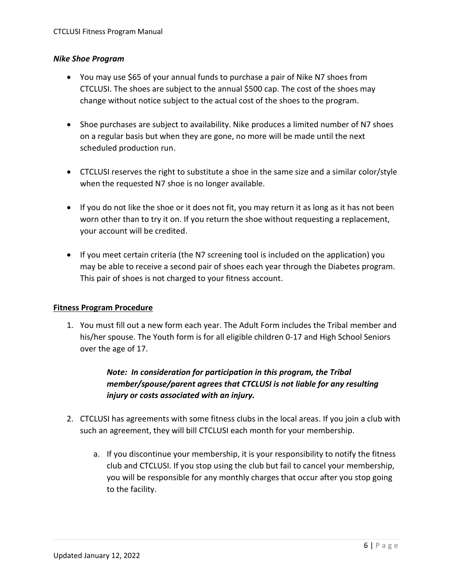# *Nike Shoe Program*

- You may use \$65 of your annual funds to purchase a pair of Nike N7 shoes from CTCLUSI. The shoes are subject to the annual \$500 cap. The cost of the shoes may change without notice subject to the actual cost of the shoes to the program.
- Shoe purchases are subject to availability. Nike produces a limited number of N7 shoes on a regular basis but when they are gone, no more will be made until the next scheduled production run.
- CTCLUSI reserves the right to substitute a shoe in the same size and a similar color/style when the requested N7 shoe is no longer available.
- If you do not like the shoe or it does not fit, you may return it as long as it has not been worn other than to try it on. If you return the shoe without requesting a replacement, your account will be credited.
- If you meet certain criteria (the N7 screening tool is included on the application) you may be able to receive a second pair of shoes each year through the Diabetes program. This pair of shoes is not charged to your fitness account.

# **Fitness Program Procedure**

1. You must fill out a new form each year. The Adult Form includes the Tribal member and his/her spouse. The Youth form is for all eligible children 0-17 and High School Seniors over the age of 17.

# *Note: In consideration for participation in this program, the Tribal member/spouse/parent agrees that CTCLUSI is not liable for any resulting injury or costs associated with an injury.*

- 2. CTCLUSI has agreements with some fitness clubs in the local areas. If you join a club with such an agreement, they will bill CTCLUSI each month for your membership.
	- a. If you discontinue your membership, it is your responsibility to notify the fitness club and CTCLUSI. If you stop using the club but fail to cancel your membership, you will be responsible for any monthly charges that occur after you stop going to the facility.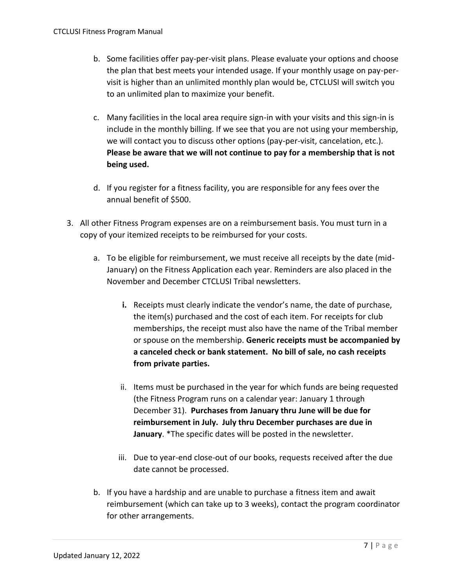- b. Some facilities offer pay-per-visit plans. Please evaluate your options and choose the plan that best meets your intended usage. If your monthly usage on pay-pervisit is higher than an unlimited monthly plan would be, CTCLUSI will switch you to an unlimited plan to maximize your benefit.
- c. Many facilities in the local area require sign-in with your visits and this sign-in is include in the monthly billing. If we see that you are not using your membership, we will contact you to discuss other options (pay-per-visit, cancelation, etc.). **Please be aware that we will not continue to pay for a membership that is not being used.**
- d. If you register for a fitness facility, you are responsible for any fees over the annual benefit of \$500.
- 3. All other Fitness Program expenses are on a reimbursement basis. You must turn in a copy of your itemized receipts to be reimbursed for your costs.
	- a. To be eligible for reimbursement, we must receive all receipts by the date (mid-January) on the Fitness Application each year. Reminders are also placed in the November and December CTCLUSI Tribal newsletters.
		- **i.** Receipts must clearly indicate the vendor's name, the date of purchase, the item(s) purchased and the cost of each item. For receipts for club memberships, the receipt must also have the name of the Tribal member or spouse on the membership. **Generic receipts must be accompanied by a canceled check or bank statement. No bill of sale, no cash receipts from private parties.**
		- ii. Items must be purchased in the year for which funds are being requested (the Fitness Program runs on a calendar year: January 1 through December 31). **Purchases from January thru June will be due for reimbursement in July. July thru December purchases are due in January**. \*The specific dates will be posted in the newsletter.
		- iii. Due to year-end close-out of our books, requests received after the due date cannot be processed.
	- b. If you have a hardship and are unable to purchase a fitness item and await reimbursement (which can take up to 3 weeks), contact the program coordinator for other arrangements.